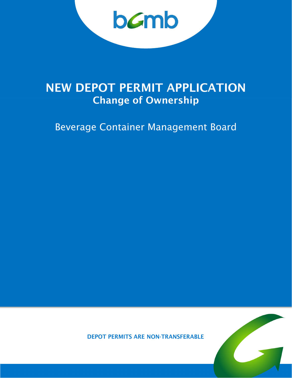bamb

# NEW DEPOT PERMIT APPLICATION Change of Ownership

Beverage Container Management Board



DEPOT PERMITS ARE NON-TRANSFERABLE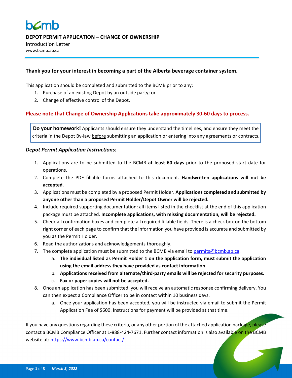

**DEPOT PERMIT APPLICATION – CHANGE OF OWNERSHIP**

Introduction Letter www.bcmb.ab.ca

#### **Thank you for your interest in becoming a part of the Alberta beverage container system.**

This application should be completed and submitted to the BCMB prior to any:

- 1. Purchase of an existing Depot by an outside party; or
- 2. Change of effective control of the Depot.

### **Please note that Change of Ownership Applications take approximately 30-60 days to process.**

**Do your homework!** Applicants should ensure they understand the timelines, and ensure they meet the criteria in the Depot By-law **before** submitting an application or entering into any agreements or contracts.

#### *Depot Permit Application Instructions:*

- 1. Applications are to be submitted to the BCMB **at least 60 days** prior to the proposed start date for operations.
- 2. Complete the PDF fillable forms attached to this document. **Handwritten applications will not be accepted**.
- 3. Applications must be completed by a proposed Permit Holder. **Applications completed and submitted by anyone other than a proposed Permit Holder/Depot Owner will be rejected.**
- 4. Include required supporting documentation: all items listed in the checklist at the end of this application package must be attached. **Incomplete applications, with missing documentation, will be rejected.**
- 5. Check all confirmation boxes and complete all required fillable fields. There is a check box on the bottom right corner of each page to confirm that the information you have provided is accurate and submitted by you as the Permit Holder.
- 6. Read the authorizations and acknowledgements thoroughly.
- 7. The complete application must be submitted to the BCMB via email to [permits@bcmb.ab.ca.](mailto:permits@bcmb.ab.ca)
	- a. **The individual listed as Permit Holder 1 on the application form, must submit the application using the email address they have provided as contact information.**
	- b. **Applications received from alternate/third-party emails will be rejected for security purposes.**
	- c. **Fax or paper copies will not be accepted.**
- 8. Once an application has been submitted, you will receive an automatic response confirming delivery. You can then expect a Compliance Officer to be in contact within 10 business days.
	- a. Once your application has been accepted, you will be instructed via email to submit the Permit Application Fee of \$600. Instructions for payment will be provided at that time.

If you have any questions regarding these criteria, or any other portion of the attached application package, please contact a BCMB Compliance Officer at 1-888-424-7671. Further contact information is also available on the BCMB website at: <https://www.bcmb.ab.ca/contact/>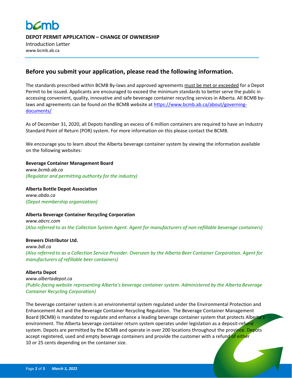# **b***c*mb

**DEPOT PERMIT APPLICATION – CHANGE OF OWNERSHIP**

Introduction Letter www.bcmb.ab.ca

## **Before you submit your application, please read the following information.**

The standards prescribed within BCMB By-laws and approved agreements must be met or exceeded for a Depot Permit to be issued. Applicants are encouraged to exceed the minimum standards to better serve the public in accessing convenient, quality, innovative and safe beverage container recycling services in Alberta. All BCMB bylaws and agreements can be found on the BCMB website a[t https://www.bcmb.ab.ca/about/governing](https://www.bcmb.ab.ca/about/governing-documents/)[documents/](https://www.bcmb.ab.ca/about/governing-documents/)

As of December 31, 2020, all Depots handling an excess of 6 million containers are required to have an Industry Standard Point of Return (POR) system. For more information on this please contact the BCMB.

We encourage you to learn about the Alberta beverage container system by viewing the information available on the following websites:

#### **Beverage Container Management Board**

*[www.bcmb.ab.ca](http://www.bcmb.ab.ca/) (Regulator and permitting authority for the industry)*

**Alberta Bottle Depot Association** *[www.abda.ca](http://www.abda.ca/) (Depot membership organization)*

### **Alberta Beverage Container Recycling Corporation**

*[www.abcrc.com](http://www.abcrc.com/) (Also referred to as the Collection System Agent. Agent for manufacturers of non-refillable beverage containers)*

#### **Brewers Distributor Ltd.**

*[www.bdl.ca](http://www.bdl.ca/) (Also referred to as a Collection Service Provider. Overseen by the Alberta Beer Container Corporation. Agent for manufacturers of refillable beer containers)*

#### **Alberta Depot**

*[www.albertadepot.ca](http://www.albertadepot.ca/) (Public-facing website representing Alberta's beverage container system. Administered by the Alberta Beverage Container Recycling Corporation)*

The beverage container system is an environmental system regulated under the Environmental Protection and Enhancement Act and the Beverage Container Recycling Regulation. The Beverage Container Management Board (BCMB) is mandated to regulate and enhance a leading beverage container system that protects Alberta's environment. The Alberta beverage container return system operates under legislation as a deposit-refund system. Depots are permitted by the BCMB and operate in over 200 locations throughout the province. Depots accept registered, used and empty beverage containers and provide the customer with a refund of either 10 or 25 cents depending on the container size.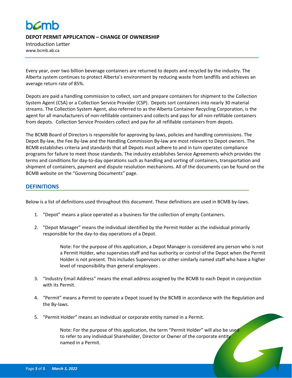# **h***c*mh

**DEPOT PERMIT APPLICATION – CHANGE OF OWNERSHIP**

Introduction Letter www.bcmb.ab.ca

Every year, over two billion beverage containers are returned to depots and recycled by the industry. The Alberta system continues to protect Alberta's environment by reducing waste from landfills and achieves an average return rate of 85%.

Depots are paid a handling commission to collect, sort and prepare containers for shipment to the Collection System Agent (CSA) or a Collection Service Provider (CSP). Depots sort containers into nearly 30 material streams. The Collection System Agent, also referred to as the Alberta Container Recycling Corporation, is the agent for all manufacturers of non-refillable containers and collects and pays for all non-refillable containers from depots. Collection Service Providers collect and pay for all refillable containers from depots.

The BCMB Board of Directors is responsible for approving by-laws, policies and handling commissions. The Depot By-law, the Fee By-law and the Handling Commission By-law are most relevant to Depot owners. The BCMB establishes criteria and standards that all Depots must adhere to and in turn operates compliance programs for failure to meet those standards. The industry establishes Service Agreements which provides the terms and conditions for day-to-day operations such as handling and sorting of containers, transportation and shipment of containers, payment and dispute resolution mechanisms. All of the documents can be found on the BCMB website on the "Governing Documents" page.

## **DEFINITIONS**

Below is a list of definitions used throughout this document. These definitions are used in BCMB by-laws.

- 1. "Depot" means a place operated as a business for the collection of empty Containers.
- 2. "Depot Manager" means the individual identified by the Permit Holder as the individual primarily responsible for the day-to-day operations of a Depot.

Note: For the purpose of this application, a Depot Manager is considered any person who is not a Permit Holder, who supervises staff and has authority or control of the Depot when the Permit Holder is not present. This includes Supervisors or other similarly named staff who have a higher level of responsibility than general employees .

- 3. "Industry Email Address" means the email address assigned by the BCMB to each Depot in conjunction with its Permit.
- 4. "Permit" means a Permit to operate a Depot issued by the BCMB in accordance with the Regulation and the By-laws.
- 5. "Permit Holder" means an individual or corporate entity named in a Permit.

Note: For the purpose of this application, the term "Permit Holder" will also be used to refer to any individual Shareholder, Director or Owner of the corporate entity named in a Permit.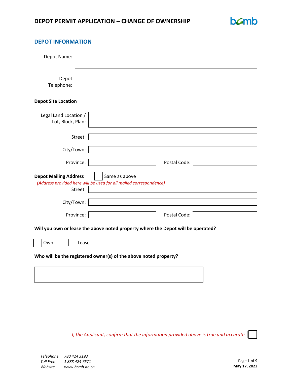# **DEPOT PERMIT APPLICATION – CHANGE OF OWNERSHIP**



| <b>DEPOT INFORMATION</b>                                         |                                                                                  |
|------------------------------------------------------------------|----------------------------------------------------------------------------------|
|                                                                  |                                                                                  |
| Depot Name:                                                      |                                                                                  |
|                                                                  |                                                                                  |
| Depot                                                            |                                                                                  |
| Telephone:                                                       |                                                                                  |
|                                                                  |                                                                                  |
| <b>Depot Site Location</b>                                       |                                                                                  |
| Legal Land Location /                                            |                                                                                  |
| Lot, Block, Plan:                                                |                                                                                  |
|                                                                  |                                                                                  |
|                                                                  | Street:                                                                          |
| City/Town:                                                       |                                                                                  |
|                                                                  |                                                                                  |
|                                                                  | Province:<br>Postal Code:                                                        |
| <b>Depot Mailing Address</b>                                     | Same as above                                                                    |
|                                                                  | (Address provided here will be used for all mailed correspondence)               |
|                                                                  | Street:                                                                          |
| City/Town:                                                       |                                                                                  |
|                                                                  |                                                                                  |
|                                                                  | Province:<br>Postal Code:                                                        |
|                                                                  | Will you own or lease the above noted property where the Depot will be operated? |
| Own                                                              | Lease                                                                            |
| Who will be the registered owner(s) of the above noted property? |                                                                                  |
|                                                                  |                                                                                  |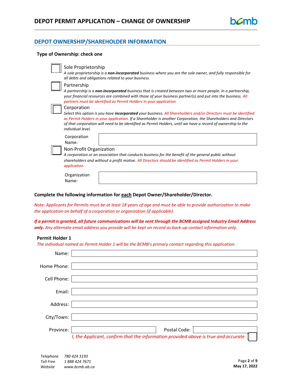## **DEPOT OWNERSHIP/SHAREHOLDER INFORMATION**

#### **Type of Ownership: check one**

| Sole Proprietorship<br>A sole proprietorship is a non-incorporated business where you are the sole owner, and fully responsible for<br>all debts and obligations related to your business.                                                                                                                                                                                                   |
|----------------------------------------------------------------------------------------------------------------------------------------------------------------------------------------------------------------------------------------------------------------------------------------------------------------------------------------------------------------------------------------------|
| Partnership<br>A partnership is a <b>non-incorporated</b> business that is created between two or more people. In a partnership,<br>your financial resources are combined with those of your business partner(s) and put into the business. All<br>partners must be identified as Permit Holders in your application.                                                                        |
| Corporation<br>Select this option is you have <b>incorporated</b> your business. All Shareholders and/or Directors must be identified<br>as Permit Holders in your application. If a Shareholder is another Corporation, the Shareholders and Directors<br>of that corporation will need to be identified as Permit Holders, until we have a record of ownership to the<br>individual level. |
| Corporation<br>Name:                                                                                                                                                                                                                                                                                                                                                                         |
| Non-Profit Organization                                                                                                                                                                                                                                                                                                                                                                      |

*A corporation or an association that conducts business for the benefit of the general public without shareholders and without a profit motive. All Directors should be identified as Permit Holders in your application.*

Organization Name:

#### **Complete the following information for each Depot Owner/Shareholder/Director.**

*Note: Applicants for Permits must be at least 18 years of age and must be able to provide authorization to make the application on behalf of a corporation or organization (if applicable).*

*If a permit is granted, all future communications will be sent through the BCMB assigned Industry Email Address only. Any alternate email address you provide will be kept on record as back-up contact information only.*

#### **Permit Holder 1**

*The individual named as Permit Holder 1 will be the BCMB's primary contact regarding this application.*

| Name:       |                                                                                    |
|-------------|------------------------------------------------------------------------------------|
| Home Phone: |                                                                                    |
| Cell Phone: |                                                                                    |
| Email:      |                                                                                    |
| Address:    |                                                                                    |
| City/Town:  |                                                                                    |
| Province:   | Postal Code:                                                                       |
|             | I, the Applicant, confirm that the information provided above is true and accurate |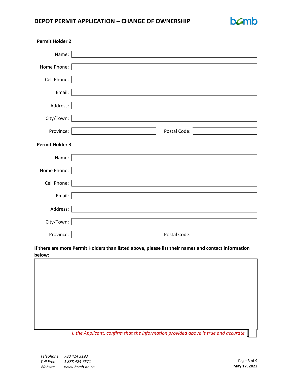# **DEPOT PERMIT APPLICATION – CHANGE OF OWNERSHIP**

| <b>Permit Holder 2</b> |                                                             |  |
|------------------------|-------------------------------------------------------------|--|
| Name:                  |                                                             |  |
| Home Phone:            |                                                             |  |
| Cell Phone:            |                                                             |  |
| Email:                 |                                                             |  |
| Address:               |                                                             |  |
| City/Town:             |                                                             |  |
| Province:              | Postal Code:                                                |  |
| <b>Permit Holder 3</b> |                                                             |  |
| Name:                  | the control of the control of the control of the control of |  |
| Home Phone:            |                                                             |  |
| Cell Phone:            |                                                             |  |
| Email:                 |                                                             |  |
| Address:               |                                                             |  |
| City/Town:             |                                                             |  |
| Province:              | Postal Code:                                                |  |

### **If there are more Permit Holders than listed above, please list their names and contact information below:**



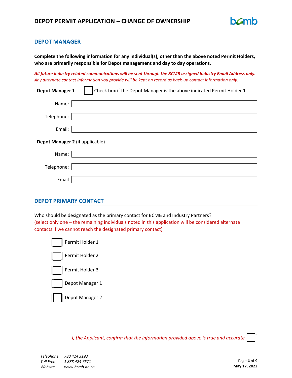#### **DEPOT MANAGER**

**Complete the following information for any individual(s), other than the above noted Permit Holders, who are primarily responsible for Depot management and day to day operations.**

*All future industry related communications will be sent through the BCMB assigned Industry Email Address only. Any alternate contact information you provide will be kept on record as back-up contact information only.*

| Depot Manager 1 | Check box if the Depot Manager is the above indicated Permit Holder 1 |
|-----------------|-----------------------------------------------------------------------|
| Name:           |                                                                       |
| Telephone:      |                                                                       |
| Email:          |                                                                       |
|                 | Depot Manager 2 (if applicable)                                       |
| Name:           |                                                                       |
| Telephone:      |                                                                       |
| Email           |                                                                       |

### **DEPOT PRIMARY CONTACT**

Who should be designated as the primary contact for BCMB and Industry Partners? (select only one – the remaining individuals noted in this application will be considered alternate contacts if we cannot reach the designated primary contact)

| Permit Holder 1 |
|-----------------|
| Permit Holder 2 |
| Permit Holder 3 |
| Depot Manager 1 |
| Depot Manager 2 |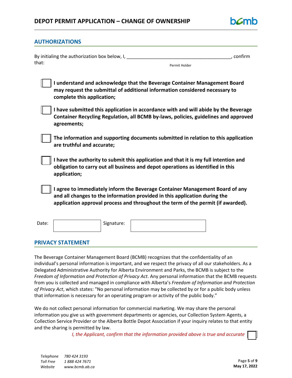

#### **AUTHORIZATIONS**

| By initialing the authorization box below, I, |               | . confirm |
|-----------------------------------------------|---------------|-----------|
| that:                                         | Permit Holder |           |

| I understand and acknowledge that the Beverage Container Management Board   |
|-----------------------------------------------------------------------------|
| may request the submittal of additional information considered necessary to |
| complete this application;                                                  |

**I have submitted this application in accordance with and will abide by the Beverage Container Recycling Regulation, all BCMB by-laws, policies, guidelines and approved agreements;**

**The information and supporting documents submitted in relation to this application are truthful and accurate;**

**I have the authority to submit this application and that it is my full intention and obligation to carry out all business and depot operations as identified in this application;**

**I agree to immediately inform the Beverage Container Management Board of any and all changes to the information provided in this application during the application approval process and throughout the term of the permit (if awarded).**

Date: | Signature:

### **PRIVACY STATEMENT**

The Beverage Container Management Board (BCMB) recognizes that the confidentiality of an individual's personal information is important, and we respect the privacy of all our stakeholders. As a Delegated Administrative Authority for Alberta Environment and Parks, the BCMB is subject to the *Freedom of Information and Protection of Privacy Act*. Any personal information that the BCMB requests from you is collected and managed in compliance with Alberta's *Freedom of Information and Protection of Privacy Act*, which states: "No personal information may be collected by or for a public body unless that information is necessary for an operating program or activity of the public body."

We do not collect personal information for commercial marketing. We may share the personal information you give us with government departments or agencies, our Collection System Agents, a Collection Service Provider or the Alberta Bottle Depot Association if your inquiry relates to that entity and the sharing is permitted by law.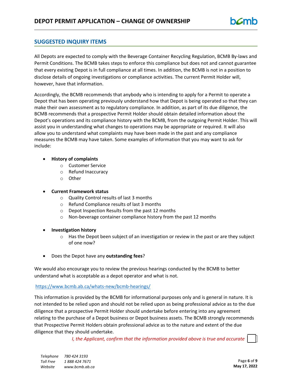## **SUGGESTED INQUIRY ITEMS**

All Depots are expected to comply with the Beverage Container Recycling Regulation, BCMB By-laws and Permit Conditions. The BCMB takes steps to enforce this compliance but does not and cannot guarantee that every existing Depot is in full compliance at all times. In addition, the BCMB is not in a position to disclose details of ongoing investigations or compliance activities. The current Permit Holder will, however, have that information.

Accordingly, the BCMB recommends that anybody who is intending to apply for a Permit to operate a Depot that has been operating previously understand how that Depot is being operated so that they can make their own assessment as to regulatory compliance. In addition, as part of its due diligence, the BCMB recommends that a prospective Permit Holder should obtain detailed information about the Depot's operations and its compliance history with the BCMB, from the outgoing Permit Holder. This will assist you in understanding what changes to operations may be appropriate or required. It will also allow you to understand what complaints may have been made in the past and any compliance measures the BCMB may have taken. Some examples of information that you may want to ask for include:

#### • **History of complaints**

- o Customer Service
- o Refund Inaccuracy
- o Other

#### • **Current Framework status**

- o Quality Control results of last 3 months
- o Refund Compliance results of last 3 months
- o Depot Inspection Results from the past 12 months
- o Non-beverage container compliance history from the past 12 months
- **Investigation history**
	- $\circ$  Has the Depot been subject of an investigation or review in the past or are they subject of one now?
- Does the Depot have any **outstanding fees**?

We would also encourage you to review the previous hearings conducted by the BCMB to better understand what is acceptable as a depot operator and what is not.

#### <https://www.bcmb.ab.ca/whats-new/bcmb-hearings/>

This information is provided by the BCMB for informational purposes only and is general in nature. It is not intended to be relied upon and should not be relied upon as being professional advice as to the due diligence that a prospective Permit Holder should undertake before entering into any agreement relating to the purchase of a Depot business or Depot business assets. The BCMB strongly recommends that Prospective Permit Holders obtain professional advice as to the nature and extent of the due diligence that they should undertake.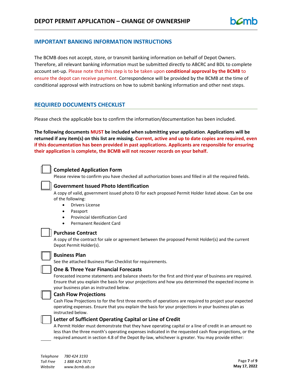#### **IMPORTANT BANKING INFORMATION INSTRUCTIONS**

The BCMB does not accept, store, or transmit banking information on behalf of Depot Owners. Therefore, all relevant banking information must be submitted directly to ABCRC and BDL to complete account set-up. Please note that this step is to be taken upon **conditional approval by the BCMB** to ensure the depot can receive payment. Correspondence will be provided by the BCMB at the time of conditional approval with instructions on how to submit banking information and other next steps.

#### **REQUIRED DOCUMENTS CHECKLIST**

Please check the applicable box to confirm the information/documentation has been included.

**The following documents MUST be included when submitting your application**. **Applications will be returned if any item(s) on this list are missing. Current, active and up to date copies are required, even if this documentation has been provided in past applications. Applicants are responsible for ensuring their application is complete, the BCMB will not recover records on your behalf.** 



#### **Completed Application Form**

Please review to confirm you have checked all authorization boxes and filled in all the required fields.



#### **Government Issued Photo Identification**

A copy of valid, government issued photo ID for each proposed Permit Holder listed above. Can be one of the following:

- Drivers License
- Passport
- Provincial Identification Card
- Permanent Resident Card

#### **Purchase Contract**

A copy of the contract for sale or agreement between the proposed Permit Holder(s) and the current Depot Permit Holder(s).



#### **Business Plan**

See the attached Business Plan Checklist for requirements.



#### **One & Three Year Financial Forecasts**

Forecasted income statements and balance sheets for the first and third year of business are required. Ensure that you explain the basis for your projections and how you determined the expected income in your business plan as instructed below.

#### **Cash Flow Projections**

Cash Flow Projections to for the first three months of operations are required to project your expected operating expenses. Ensure that you explain the basis for your projections in your business plan as instructed below.

#### **Letter of Sufficient Operating Capital or Line of Credit**

A Permit Holder must demonstrate that they have operating capital or a line of credit in an amount no less than the three month's operating expenses indicated in the requested cash flow projections, or the required amount in section 4.8 of the Depot By-law, whichever is greater. You may provide either: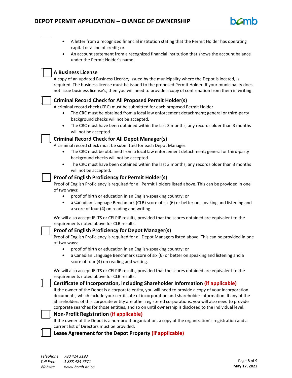capital or a line of credit; or • An account statement from a recognized financial institution that shows the account balance under the Permit Holder's name. **A Business License** A copy of an updated Business License, issued by the municipality where the Depot is located, is required. The business license must be issued to the proposed Permit Holder. If your municipality does not issue business license's, then you will need to provide a copy of confirmation from them in writing. **Criminal Record Check for All Proposed Permit Holder(s)** A criminal record check (CRC) must be submitted for each proposed Permit Holder. • The CRC must be obtained from a local law enforcement detachment; general or third-party background checks will not be accepted. The CRC must have been obtained within the last 3 months; any records older than 3 months will not be accepted. **Criminal Record Check for All Depot Manager(s)** A criminal record check must be submitted for each Depot Manager. • The CRC must be obtained from a local law enforcement detachment; general or third-party background checks will not be accepted. • The CRC must have been obtained within the last 3 months; any records older than 3 months will not be accepted. **Proof of English Proficiency for Permit Holder(s)** Proof of English Proficiency is required for all Permit Holders listed above. This can be provided in one of two ways: • proof of birth or education in an English-speaking country; or • a Canadian Language Benchmark (CLB) score of six (6) or better on speaking and listening and a score of four (4) on reading and writing. We will also accept IELTS or CELPIP results, provided that the scores obtained are equivalent to the requirements noted above for CLB results. **Proof of English Proficiency for Depot Manager(s)** Proof of English Proficiency is required for all Depot Managers listed above. This can be provided in one of two ways: • proof of birth or education in an English-speaking country; or • a Canadian Language Benchmark score of six (6) or better on speaking and listening and a score of four (4) on reading and writing. We will also accept IELTS or CELPIP results, provided that the scores obtained are equivalent to the requirements noted above for CLB results. **Certificate of Incorporation, including Shareholder Information (if applicable)** If the owner of the Depot is a corporate entity, you will need to provide a copy of your incorporation documents, which include your certificate of incorporation and shareholder information. If any of the Shareholders of this corporate entity are other registered corporations, you will also need to provide corporate searches for those entities, and so on until ownership is disclosed to the individual level. **Non-Profit Registration (if applicable)** If the owner of the Depot is a non-profit organization, a copy of the organization's registration and a current list of Directors must be provided. **Lease Agreement for the Depot Property (if applicable)**

• A letter from a recognized financial institution stating that the Permit Holder has operating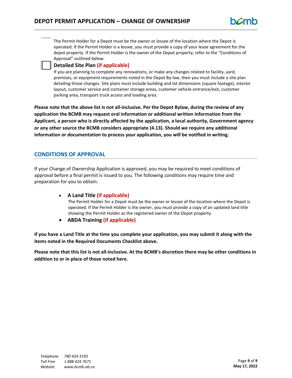The Permit Holder for a Depot must be the owner or lessee of the location where the Depot is operated. If the Permit Holder is a lessee, you must provide a copy of your lease agreement for the depot property. If the Permit Holder is the owner of the Depot property, refer to the "Conditions of Approval" outlined below.

## **Detailed Site Plan (if applicable)**

If you are planning to complete any renovations, or make any changes related to facility, yard, premises, or equipment requirements noted in the Depot By-law, then you must include a site plan detailing those changes. Site plans must include building and lot dimensions (square footage), interior layout, customer service and container storage areas, customer vehicle entrance/exit, customer parking area, transport truck access and loading area.

**Please note that the above list is not all-inclusive. Per the Depot Bylaw, during the review of any application the BCMB may request oral information or additional written information from the Applicant, a person who is directly affected by the application, a local authority, Government agency or any other source the BCMB considers appropriate (4.13). Should we require any additional information or documentation to process your application, you will be notified in writing.**

## **CONDITIONS OF APPROVAL**

If your Change of Ownership Application is approved, you may be required to meet conditions of approval before a final permit is issued to you. The following conditions may require time and preparation for you to obtain:

• **A Land Title (if applicable)**

The Permit Holder for a Depot must be the owner or lessee of the location where the Depot is operated. If the Permit Holder is the owner, you must provide a copy of an updated land title showing the Permit Holder as the registered owner of the Depot property.

• **ABDA Training (if applicable)**

**If you have a Land Title at the time you complete your application, you may submit it along with the items noted in the Required Documents Checklist above.**

**Please note that this list is not all-inclusive. At the BCMB's discretion there may be other conditions in addition to or in place of those noted here.**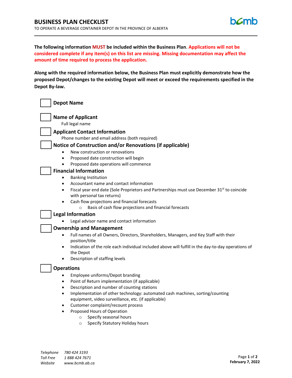

**The following information MUST be included within the Business Plan**. **Applications will not be considered complete if any item(s) on this list are missing. Missing documentation may affect the amount of time required to process the application.**

**Along with the required information below, the Business Plan must explicitly demonstrate how the proposed Depot/changes to the existing Depot will meet or exceed the requirements specified in the Depot By-law.**

| <b>Depot Name</b>                                                                                                                                                                                                                                                                                                                                                                                                                                                                                  |
|----------------------------------------------------------------------------------------------------------------------------------------------------------------------------------------------------------------------------------------------------------------------------------------------------------------------------------------------------------------------------------------------------------------------------------------------------------------------------------------------------|
| <b>Name of Applicant</b><br>Full legal name                                                                                                                                                                                                                                                                                                                                                                                                                                                        |
| <b>Applicant Contact Information</b><br>Phone number and email address (both required)<br>Notice of Construction and/or Renovations (if applicable)                                                                                                                                                                                                                                                                                                                                                |
| New construction or renovations<br>Proposed date construction will begin<br>$\bullet$<br>Proposed date operations will commence                                                                                                                                                                                                                                                                                                                                                                    |
| <b>Financial Information</b><br><b>Banking Institution</b><br>$\bullet$<br>Accountant name and contact information<br>$\bullet$<br>Fiscal year end date (Sole Proprietors and Partnerships must use December 31 <sup>st</sup> to coincide<br>$\bullet$<br>with personal tax returns)                                                                                                                                                                                                               |
| Cash flow projections and financial forecasts<br>Basis of cash flow projections and financial forecasts<br>$\circ$<br><b>Legal Information</b><br>Legal advisor name and contact information                                                                                                                                                                                                                                                                                                       |
| <b>Ownership and Management</b><br>Full names of all Owners, Directors, Shareholders, Managers, and Key Staff with their<br>$\bullet$<br>position/title<br>Indication of the role each individual included above will fulfill in the day-to-day operations of<br>$\bullet$<br>the Depot<br>Description of staffing levels                                                                                                                                                                          |
| <b>Operations</b><br>Employee uniforms/Depot branding<br>٠<br>Point of Return implementation (if applicable)<br>Description and number of counting stations<br>$\bullet$<br>Implementation of other technology: automated cash machines, sorting/counting<br>equipment, video surveillance, etc. (if applicable)<br>Customer complaint/recount process<br>$\bullet$<br>Proposed Hours of Operation<br>$\bullet$<br>Specify seasonal hours<br>$\circ$<br>Specify Statutory Holiday hours<br>$\circ$ |